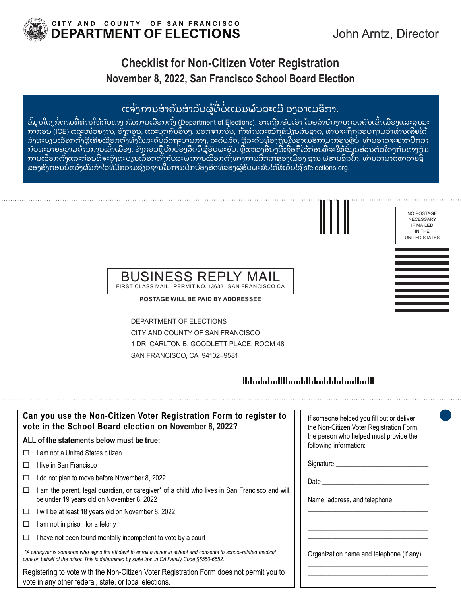

## **Checklist for Non-Citizen Voter Registration November 8, 2022, San Francisco School Board Election**

## ແຈ້ງການສຳຄັນສຳລັບຜູ້ທີ່ບໍ່ແມ່ນພົນລະເມື ອງອາເມຣິກາ.

ຂໍ້ມູນໃດໆກໍ່ຕາມທີ່ທ່ານໃຫ້ກັບທາງ ກົມການເລືອກຕັ້ງ (Department of Elections), ອາດຖືກຮັບເອົາ ໂດຍສານັກງານກວດຄົນເຂົ້າເມືອງແລະສຸນລະ ກາກອນ (ICE) ແລະໜ່ວຍງານ, ອົງກອນ, ແລະບຸກຄົນອື່ນໆ. ນອກຈາກນັ້ນ, ຖ້າທ່ານສະໝັກຂໍປ່ຽນສັນຊາດ, ທ່ານຈະຖືກສອບຖາມວ່າທ່ານເຄີຍໄດ້ ລົງທະບຽນເລືອກຕັ້ງຫຼືເຄີຍເລືອກຕັ້ງທັ້ງໃນລະດັບລັດຖະບານກາງ, ລະດັບລັດ, ຫຼືລະດັບທ້ອງຖິ່ນໃນອາເມຣິກາມາກ່ອນຫຼືບໍ່. ທ່ານອາດຈະຢາກບຶກສາ ກັບທະນາຍຄວາມດ້ານການເຂົ້າເມືອງ, ອົງກອນທີ່ບົກບ້ອງສິດທິຜູ້ອົບພະຍົບ, ຫຼືແຫລ່ງອື່ນໆທີ່ເຊື່ອຖືໄດ້ກ່ອນທີ່ຈະໃຫ້ຂໍ້ມູນສ່ວນຕົວໃດໆກັບທາງກຸົມ ການເລືອກຕັ້ງແລະກ່ອນທີ່ຈະລົງທະບຽນເລືອກຕັ້ງກັບສະພາການເລືອກຕັ້ງທາງການສຶກສາຂອງເມືອງ ຊານ ຟຮານຊິສໂກ. ທ່ານສາມາດຫາລາຍຊື ຂອງອົງກອນບໍ່ຫວັງຜົນກຳໄລທີ່ມີຄວາມຊ່ຽວຊານໃນການປົກບ້ອງສິດທິຂອງຜູ້ອົບພະຍົບໄດ້ທີ່ເວັບໄຊ້ sfelections.org. ່

| NO POSTAGE<br><b>NECESSARY</b><br><b>IF MAILED</b><br>IN THE<br><b>UNITED STATES</b> |
|--------------------------------------------------------------------------------------|
|                                                                                      |

#### BUSINESS REPLY FIRST-CLASS MAIL PERMIT NO. 13632 SAN FRANCISCO CA

**POSTAGE WILL BE PAID BY ADDRESSEE**

DEPARTMENT OF ELECTIONS CITY AND COUNTY OF SAN FRANCISCO 1 DR. CARLTON B. GOODLETT PLACE, ROOM 48 SAN FRANCISCO, CA 94102–9581

### 

| Can you use the Non-Citizen Voter Registration Form to register to<br>vote in the School Board election on November 8, 2022?                                                                                      | If someone helped you fill out or deliver<br>the Non-Citizen Voter Registration Form, |
|-------------------------------------------------------------------------------------------------------------------------------------------------------------------------------------------------------------------|---------------------------------------------------------------------------------------|
| ALL of the statements below must be true:                                                                                                                                                                         | the person who helped must provide the<br>following information:                      |
| I am not a United States citizen                                                                                                                                                                                  |                                                                                       |
| l live in San Francisco                                                                                                                                                                                           |                                                                                       |
| I do not plan to move before November 8, 2022<br>□                                                                                                                                                                | Date                                                                                  |
| am the parent, legal guardian, or caregiver* of a child who lives in San Francisco and will<br>be under 19 years old on November 8, 2022                                                                          | Name, address, and telephone                                                          |
| I will be at least 18 years old on November 8, 2022<br>□                                                                                                                                                          |                                                                                       |
| I am not in prison for a felony<br>□                                                                                                                                                                              |                                                                                       |
| I have not been found mentally incompetent to vote by a court                                                                                                                                                     |                                                                                       |
| *A caregiver is someone who signs the affidavit to enroll a minor in school and consents to school-related medical<br>care on behalf of the minor. This is determined by state law, in CA Family Code §6550-6552. | Organization name and telephone (if any)                                              |
| Registering to vote with the Non-Citizen Voter Registration Form does not permit you to<br>vote in any other federal, state, or local elections.                                                                  |                                                                                       |